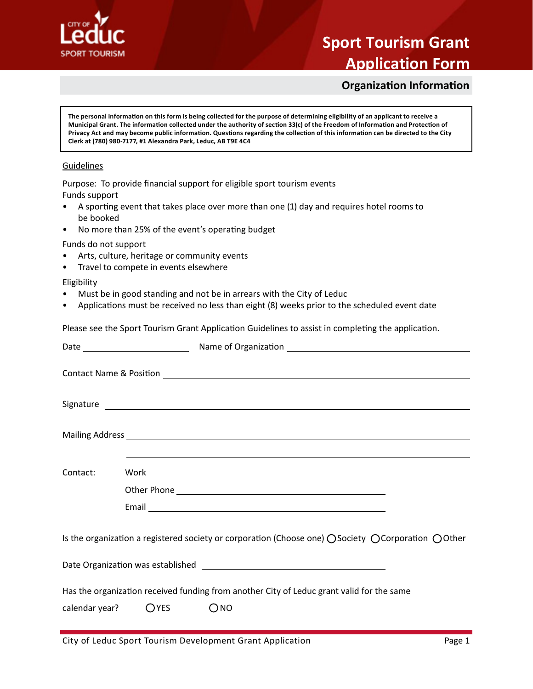

## **Sport Tourism Grant**

### **Application Form**

**Organization Information**

#### **Guidelines** Guidelines

- A sporting event that takes place over more than one (1) day and requires hotel rooms to • No more than 25% of the event's operating budget be booked
- No more than 25% of the event's operating budget

- Arts, culture, heritage or community events
- Travel to compete in events elsewhere

- Must be in good standing and not be in arrears with the City of Leduc
- $\mathbb{P}^1$  and Sport Tourism Grant Application Guidelines to assist in completing the application  $\mathbb{P}^1$ • Applications must be received no less than eight (8) weeks prior to the scheduled event date

| <b>Organization Information</b>                                                                                                                                                                                                                                                                                                                                                                                                                                           |
|---------------------------------------------------------------------------------------------------------------------------------------------------------------------------------------------------------------------------------------------------------------------------------------------------------------------------------------------------------------------------------------------------------------------------------------------------------------------------|
| The personal information on this form is being collected for the purpose of determining eligibility of an applicant to receive a<br>Municipal Grant. The information collected under the authority of section 33(c) of the Freedom of Information and Protection of<br>Privacy Act and may become public information. Questions regarding the collection of this information can be directed to the City<br>Clerk at (780) 980-7177, #1 Alexandra Park, Leduc, AB T9E 4C4 |
| Guidelines                                                                                                                                                                                                                                                                                                                                                                                                                                                                |
| Purpose: To provide financial support for eligible sport tourism events                                                                                                                                                                                                                                                                                                                                                                                                   |
| Funds support<br>A sporting event that takes place over more than one (1) day and requires hotel rooms to<br>be booked                                                                                                                                                                                                                                                                                                                                                    |
| No more than 25% of the event's operating budget<br>$\bullet$                                                                                                                                                                                                                                                                                                                                                                                                             |
| Funds do not support<br>Arts, culture, heritage or community events<br>Travel to compete in events elsewhere<br>$\bullet$                                                                                                                                                                                                                                                                                                                                                 |
| Eligibility<br>Must be in good standing and not be in arrears with the City of Leduc<br>Applications must be received no less than eight (8) weeks prior to the scheduled event date<br>$\bullet$                                                                                                                                                                                                                                                                         |
| Please see the Sport Tourism Grant Application Guidelines to assist in completing the application.                                                                                                                                                                                                                                                                                                                                                                        |
|                                                                                                                                                                                                                                                                                                                                                                                                                                                                           |
| <b>Contact Name &amp; Position Contact Name &amp; Resistion</b>                                                                                                                                                                                                                                                                                                                                                                                                           |
|                                                                                                                                                                                                                                                                                                                                                                                                                                                                           |
|                                                                                                                                                                                                                                                                                                                                                                                                                                                                           |
|                                                                                                                                                                                                                                                                                                                                                                                                                                                                           |
| Contact:                                                                                                                                                                                                                                                                                                                                                                                                                                                                  |
|                                                                                                                                                                                                                                                                                                                                                                                                                                                                           |
|                                                                                                                                                                                                                                                                                                                                                                                                                                                                           |
| Is the organization a registered society or corporation (Choose one) ○ Society ○ Corporation ○ Other                                                                                                                                                                                                                                                                                                                                                                      |
|                                                                                                                                                                                                                                                                                                                                                                                                                                                                           |
| Has the organization received funding from another City of Leduc grant valid for the same                                                                                                                                                                                                                                                                                                                                                                                 |
| $O$ <sub>NO</sub><br>$O$ YES<br>calendar year?                                                                                                                                                                                                                                                                                                                                                                                                                            |
| City of Leduc Sport Tourism Development Grant Application<br>Page 1                                                                                                                                                                                                                                                                                                                                                                                                       |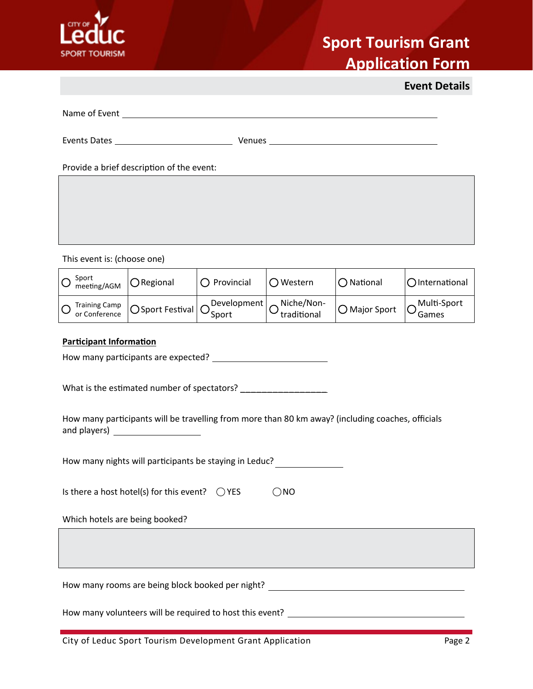

# **Sport Tourism Grant**

**Application Form**

|                                                                                                                                         |                                                                                   |                       |                           |                        | <b>Event Details</b> |
|-----------------------------------------------------------------------------------------------------------------------------------------|-----------------------------------------------------------------------------------|-----------------------|---------------------------|------------------------|----------------------|
|                                                                                                                                         |                                                                                   |                       |                           |                        |                      |
|                                                                                                                                         |                                                                                   |                       |                           |                        |                      |
|                                                                                                                                         | Provide a brief description of the event:                                         |                       |                           |                        |                      |
|                                                                                                                                         |                                                                                   |                       |                           |                        |                      |
|                                                                                                                                         |                                                                                   |                       |                           |                        |                      |
|                                                                                                                                         |                                                                                   |                       |                           |                        |                      |
| This event is: (choose one)                                                                                                             |                                                                                   |                       |                           |                        |                      |
| Sport<br>meeting/AGM                                                                                                                    | ORegional                                                                         | $\bigcirc$ Provincial | ○ Western                 | $\bigcirc$ National    | OInternational       |
| <b>Training Camp</b><br>or Conference                                                                                                   | ○ Sport Festival                                                                  | Development<br>Sport  | Niche/Non-<br>traditional | $\bigcirc$ Major Sport | Multi-Sport<br>Games |
| <b>Participant Information</b>                                                                                                          |                                                                                   |                       |                           |                        |                      |
|                                                                                                                                         |                                                                                   |                       |                           |                        |                      |
| What is the estimated number of spectators? __________________                                                                          |                                                                                   |                       |                           |                        |                      |
| How many participants will be travelling from more than 80 km away? (including coaches, officials<br>and players) _____________________ |                                                                                   |                       |                           |                        |                      |
| How many nights will participants be staying in Leduc?                                                                                  |                                                                                   |                       |                           |                        |                      |
| Is there a host hotel(s) for this event?<br>$\bigcirc$ NO<br>$\bigcirc$ YES                                                             |                                                                                   |                       |                           |                        |                      |
| Which hotels are being booked?                                                                                                          |                                                                                   |                       |                           |                        |                      |
|                                                                                                                                         |                                                                                   |                       |                           |                        |                      |
|                                                                                                                                         | How many rooms are being block booked per night? ________________________________ |                       |                           |                        |                      |
|                                                                                                                                         |                                                                                   |                       |                           |                        |                      |
|                                                                                                                                         | City of Leduc Sport Tourism Development Grant Application                         |                       |                           |                        | Page 2               |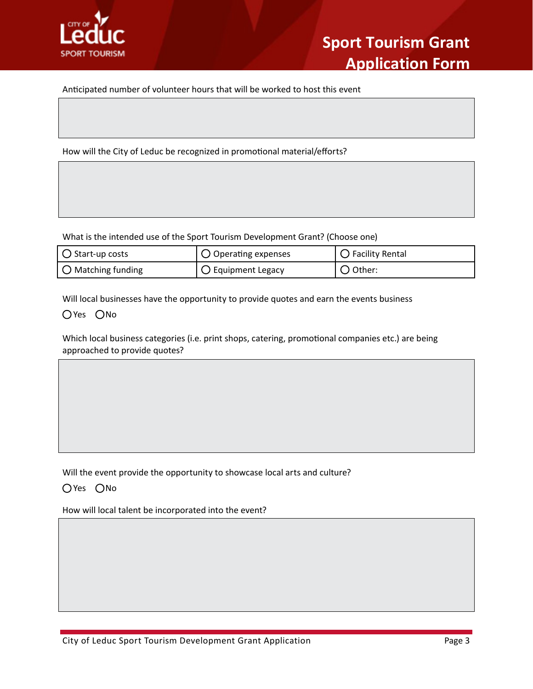

Alexandra Park, Leduc, AB T9E 4C4.

Anticipated number of volunteer hours that will be worked to host this event

How will the City of Leduc be recognized in promotional material/efforts?

| What is the intended use of the Sport Tourism Development Grant? (Choose one)          |                                                                                                                                                                                                 |                            |  |  |  |  |
|----------------------------------------------------------------------------------------|-------------------------------------------------------------------------------------------------------------------------------------------------------------------------------------------------|----------------------------|--|--|--|--|
| $\bigcirc$ Start-up costs                                                              | $\bigcirc$ Operating expenses                                                                                                                                                                   | $\bigcirc$ Facility Rental |  |  |  |  |
| $\bigcirc$ Matching funding                                                            | $\bigcirc$ Equipment Legacy                                                                                                                                                                     | $\bigcirc$ Other:          |  |  |  |  |
| OYes ONo<br>approached to provide quotes?                                              | Will local businesses have the opportunity to provide quotes and earn the events business<br>Which local business categories (i.e. print shops, catering, promotional companies etc.) are being |                            |  |  |  |  |
|                                                                                        |                                                                                                                                                                                                 |                            |  |  |  |  |
| Will the event provide the opportunity to showcase local arts and culture?<br>OYes ONo |                                                                                                                                                                                                 |                            |  |  |  |  |
| How will local talent be incorporated into the event?                                  |                                                                                                                                                                                                 |                            |  |  |  |  |
|                                                                                        |                                                                                                                                                                                                 |                            |  |  |  |  |
|                                                                                        |                                                                                                                                                                                                 |                            |  |  |  |  |
| City of Leduc Sport Tourism Development Grant Application                              |                                                                                                                                                                                                 | Page 3                     |  |  |  |  |

#### $\bigcirc$  Yes  $\bigcirc$  No  $\bigcirc$  Tourism  $\bigcirc$  assist in completing the application  $\bigcirc$  assist in completing the application  $\bigcirc$  assist in completing the application  $\bigcirc$  and  $\bigcirc$  are application of  $\bigcirc$  and  $\bigcirc$  are appl

#### OYes ONo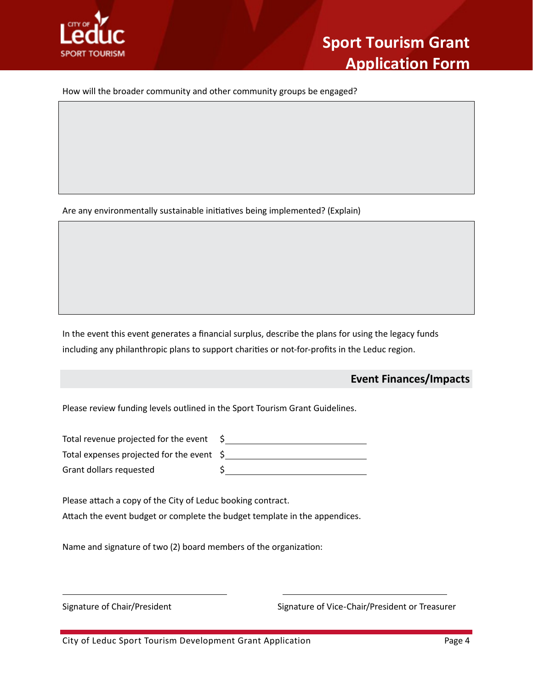

**Organization Information** How will the broader community and other community groups be engaged?

Are any environmentally sustainable initiatives being implemented? (Explain)

 $\mathcal{F}(\mathcal{F})$  and  $\mathcal{F}(\mathcal{F})$  of the eventy of the eventy of the eventy of the eventy of the event of the event of the event of the event of the event of the event of the event of the event of the event of the event o

In the event this event generates a financial surplus, describe the plans for using the legacy funds including any philanthropic plans to support charities or not-for-profits in the Leduc region.

 $\mathcal{P}$ lease see the Sport Tourism Grant Application Guidelines to assist in completing the application  $\mathcal{P}$ 

### **Event Finances/Impacts**

Total expenses projected for the event  $\;$ \$  $\zeta$ Please review funding levels outlined in the Sport Tourism Grant Guidelines.<br>
Total expenses projected for the event S<br>
Grant dollars requested S<br>
Please attach a copy of the City of Leduc booking contract.<br>
Altach the eve Total revenue projected for the event \$ Grant dollars requested \$

Please attach a copy of the City of Leduc booking contract.

Attach the event budget or complete the budget template in the appendices.

Name and signature of two (2) board members of the organization:

Signature of Chair/President **Signature of Vice-Chair/President or Treasurer**